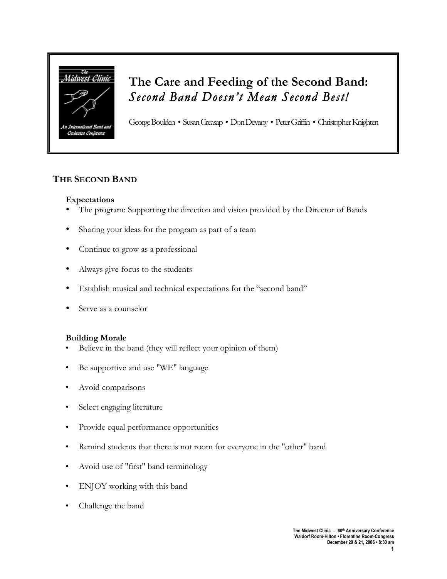

# **The Care and Feeding of the Second Band:** *Second Band Doesn't Mean Second Best!*

GeorgeBoulden • SusanCreasap • DonDevany • PeterGriffin • ChristopherKnighten

# **THE SECOND BAND**

#### **Expectations**

- The program: Supporting the direction and vision provided by the Director of Bands
- Sharing your ideas for the program as part of a team
- Continue to grow as a professional
- Always give focus to the students
- Establish musical and technical expectations for the "second band"
- Serve as a counselor

#### **Building Morale**

- Believe in the band (they will reflect your opinion of them)
- Be supportive and use "WE" language
- Avoid comparisons
- Select engaging literature
- Provide equal performance opportunities
- Remind students that there is not room for everyone in the "other" band
- Avoid use of "first" band terminology
- ENJOY working with this band
- Challenge the band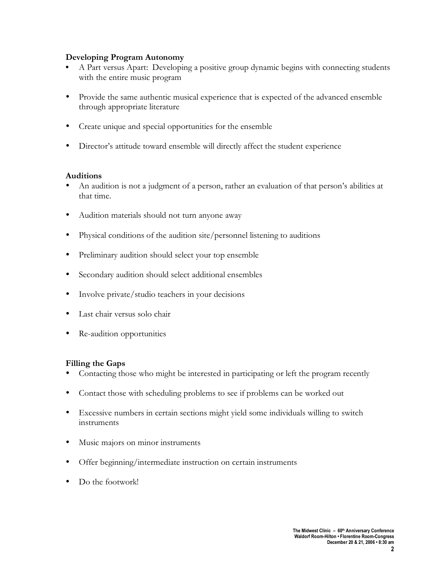#### **Developing Program Autonomy**

- **•** A Part versus Apart: Developing a positive group dynamic begins with connecting students with the entire music program
- Provide the same authentic musical experience that is expected of the advanced ensemble through appropriate literature
- Create unique and special opportunities for the ensemble
- Director's attitude toward ensemble will directly affect the student experience

#### **Auditions**

- An audition is not a judgment of a person, rather an evaluation of that person's abilities at that time.
- Audition materials should not turn anyone away
- Physical conditions of the audition site/personnel listening to auditions
- Preliminary audition should select your top ensemble
- Secondary audition should select additional ensembles
- Involve private/studio teachers in your decisions
- Last chair versus solo chair
- Re-audition opportunities

### **Filling the Gaps**

- Contacting those who might be interested in participating or left the program recently
- Contact those with scheduling problems to see if problems can be worked out
- Excessive numbers in certain sections might yield some individuals willing to switch instruments
- Music majors on minor instruments
- Offer beginning/intermediate instruction on certain instruments
- Do the footwork!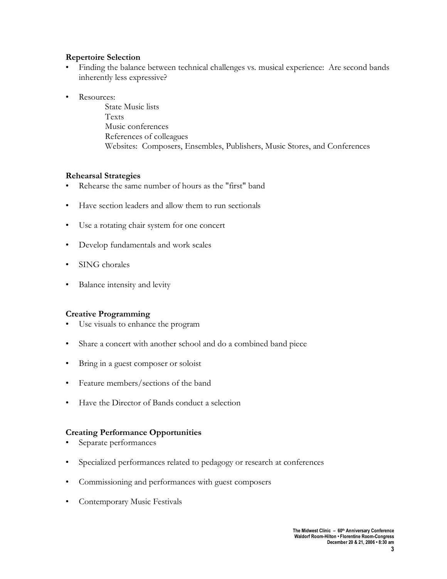#### **Repertoire Selection**

- Finding the balance between technical challenges vs. musical experience: Are second bands inherently less expressive?
- Resources:

State Music lists Texts Music conferences References of colleagues Websites: Composers, Ensembles, Publishers, Music Stores, and Conferences

#### **Rehearsal Strategies**

- Rehearse the same number of hours as the "first" band
- Have section leaders and allow them to run sectionals
- Use a rotating chair system for one concert
- Develop fundamentals and work scales
- SING chorales
- Balance intensity and levity

#### **Creative Programming**

- Use visuals to enhance the program
- Share a concert with another school and do a combined band piece
- Bring in a guest composer or soloist
- Feature members/sections of the band
- Have the Director of Bands conduct a selection

### **Creating Performance Opportunities**

- Separate performances
- Specialized performances related to pedagogy or research at conferences
- Commissioning and performances with guest composers
- Contemporary Music Festivals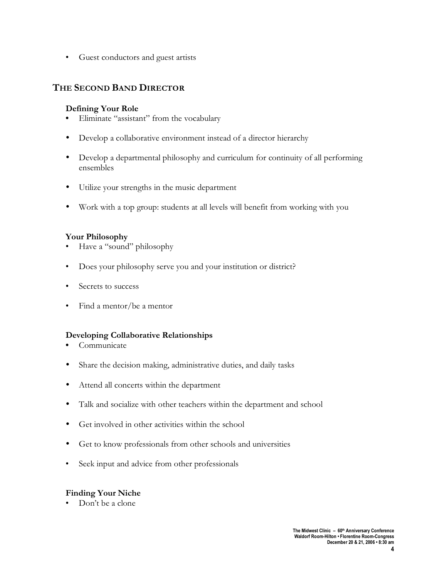• Guest conductors and guest artists

# **THE SECOND BAND DIRECTOR**

#### **Defining Your Role**

- **•** Eliminate "assistant" from the vocabulary
- Develop a collaborative environment instead of a director hierarchy
- Develop a departmental philosophy and curriculum for continuity of all performing ensembles
- Utilize your strengths in the music department
- Work with a top group: students at all levels will benefit from working with you

#### **Your Philosophy**

- Have a "sound" philosophy
- Does your philosophy serve you and your institution or district?
- Secrets to success
- Find a mentor/be a mentor

### **Developing Collaborative Relationships**

- **•** Communicate
- Share the decision making, administrative duties, and daily tasks
- Attend all concerts within the department
- Talk and socialize with other teachers within the department and school
- Get involved in other activities within the school
- Get to know professionals from other schools and universities
- Seek input and advice from other professionals

#### **Finding Your Niche**

Don't be a clone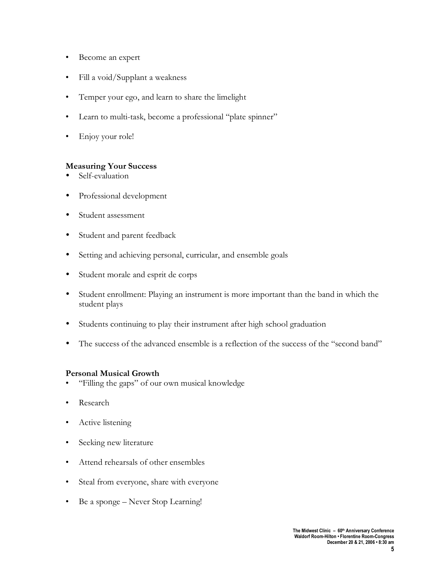- Become an expert
- Fill a void/Supplant a weakness
- Temper your ego, and learn to share the limelight
- Learn to multi-task, become a professional "plate spinner"
- Enjoy your role!

#### **Measuring Your Success**

- Self-evaluation
- Professional development
- Student assessment
- Student and parent feedback
- Setting and achieving personal, curricular, and ensemble goals
- Student morale and esprit de corps
- Student enrollment: Playing an instrument is more important than the band in which the student plays
- Students continuing to play their instrument after high school graduation
- The success of the advanced ensemble is a reflection of the success of the "second band"

#### **Personal Musical Growth**

- "Filling the gaps" of our own musical knowledge
- **Research**
- Active listening
- Seeking new literature
- Attend rehearsals of other ensembles
- Steal from everyone, share with everyone
- Be a sponge Never Stop Learning!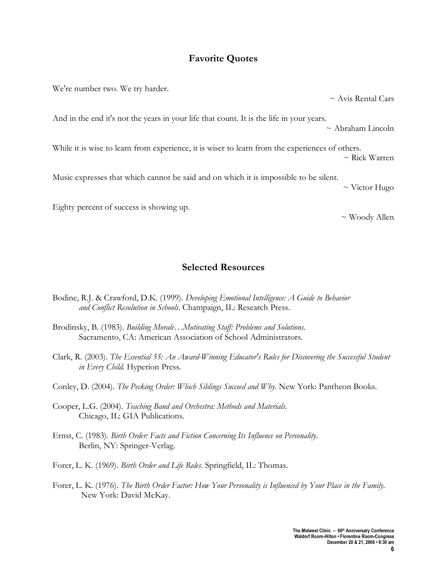## **Favorite Quotes**

We're number two. We try harder. ~ Avis Rental Cars And in the end it's not the years in your life that count. It is the life in your years. ~ Abraham Lincoln While it is wise to learn from experience, it is wiser to learn from the experiences of others. ~ Rick Warren Music expresses that which cannot be said and on which it is impossible to be silent.  $\sim$  Victor Hugo Eighty percent of success is showing up.  $\sim$  Woody Allen

### **Selected Resources**

- Bodine, R.J. & Crawford, D.K. (1999). *Developing Emotional Intelligence: A Guide to Behavior and Conflict Resolution in Schools*. Champaign, IL: Research Press.
- Brodinsky, B. (1983). *Building Morale…Motivating Staff: Problems and Solutions.* Sacramento, CA: American Association of School Administrators.
- Clark, R. (2003). *The Essential 55: An Award-Winning Educator's Rules for Discovering the Successful Student in Every Child.* Hyperion Press.

Conley, D. (2004). *The Pecking Order: Which Siblings Succeed and Why.* New York: Pantheon Books.

Cooper, L.G. (2004). *Teaching Band and Orchestra: Methods and Materials.* Chicago, IL: GIA Publications.

- Ernst, C. (1983). *Birth Order: Facts and Fiction Concerning Its Influence on Personality*. Berlin, NY: Springer-Verlag.
- Forer, L. K. (1969). *Birth Order and Life Roles*. Springfield, IL: Thomas.
- Forer, L. K. (1976). *The Birth Order Factor: How Your Personality is Influenced by Your Place in the Family.* New York: David McKay.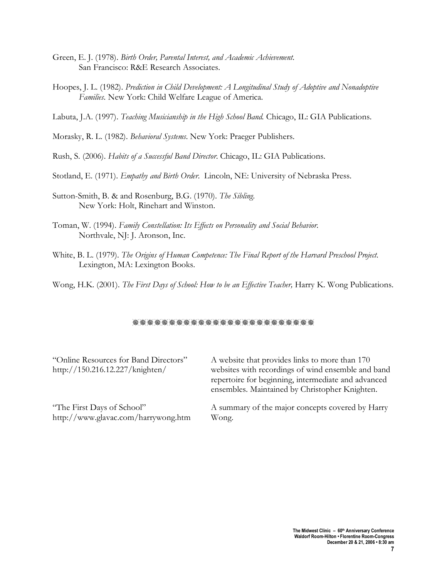- Green, E. J. (1978). *Birth Order, Parental Interest, and Academic Achievement.* San Francisco: R&E Research Associates.
- Hoopes, J. L. (1982). *Prediction in Child Development: A Longitudinal Study of Adoptive and Nonadoptive Families.* New York: Child Welfare League of America.

Labuta, J.A. (1997). *Teaching Musicianship in the High School Band.* Chicago, IL: GIA Publications.

Morasky, R. L. (1982). *Behavioral Systems*. New York: Praeger Publishers.

Rush, S. (2006). *Habits of a Successful Band Director*. Chicago, IL: GIA Publications.

Stotland, E. (1971). *Empathy and Birth Order*. Lincoln, NE: University of Nebraska Press.

Sutton-Smith, B. & and Rosenburg, B.G. (1970). *The Sibling*. New York: Holt, Rinehart and Winston.

- Toman, W. (1994). *Family Constellation: Its Effects on Personality and Social Behavior.* Northvale, NJ: J. Aronson, Inc.
- White, B. L. (1979). *The Origins of Human Competence: The Final Report of the Harvard Preschool Project.* Lexington, MA: Lexington Books.

Wong, H.K*.* (2001). *The First Days of School: How to be an Effective Teacher,* Harry K. Wong Publications.

#### \*\*\*\*\*\*\*\*\*\*\*\*\*\*\*\*\*\*\*\*\*\*\*\*\*\*\*

| "Online Resources for Band Directors"<br>http://150.216.12.227/knighten/ | A website that provides links to more than 170<br>websites with recordings of wind ensemble and band<br>repertoire for beginning, intermediate and advanced<br>ensembles. Maintained by Christopher Knighten. |
|--------------------------------------------------------------------------|---------------------------------------------------------------------------------------------------------------------------------------------------------------------------------------------------------------|
| "The First Days of School"                                               | A summary of the major concepts covered by Harry                                                                                                                                                              |
| http://www.glavac.com/harrywong.htm                                      | Wong.                                                                                                                                                                                                         |